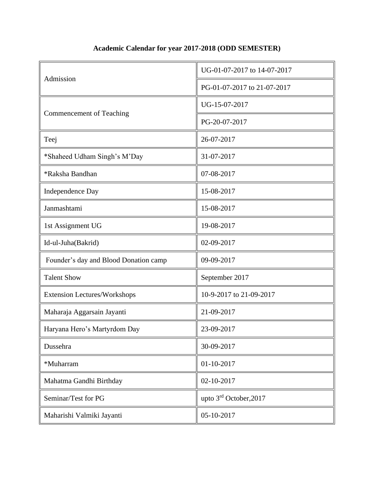## **Academic Calendar for year 2017-2018 (ODD SEMESTER)**

| Admission                             | UG-01-07-2017 to 14-07-2017 |
|---------------------------------------|-----------------------------|
|                                       | PG-01-07-2017 to 21-07-2017 |
| Commencement of Teaching              | UG-15-07-2017               |
|                                       | PG-20-07-2017               |
| Teej                                  | 26-07-2017                  |
| *Shaheed Udham Singh's M'Day          | 31-07-2017                  |
| *Raksha Bandhan                       | 07-08-2017                  |
| Independence Day                      | 15-08-2017                  |
| Janmashtami                           | 15-08-2017                  |
| 1st Assignment UG                     | 19-08-2017                  |
| Id-ul-Juha(Bakrid)                    | 02-09-2017                  |
| Founder's day and Blood Donation camp | 09-09-2017                  |
| <b>Talent Show</b>                    | September 2017              |
| <b>Extension Lectures/Workshops</b>   | 10-9-2017 to 21-09-2017     |
| Maharaja Aggarsain Jayanti            | 21-09-2017                  |
| Haryana Hero's Martyrdom Day          | 23-09-2017                  |
| Dussehra                              | 30-09-2017                  |
| *Muharram                             | 01-10-2017                  |
| Mahatma Gandhi Birthday               | 02-10-2017                  |
| Seminar/Test for PG                   | upto 3rd October, 2017      |
| Maharishi Valmiki Jayanti             | 05-10-2017                  |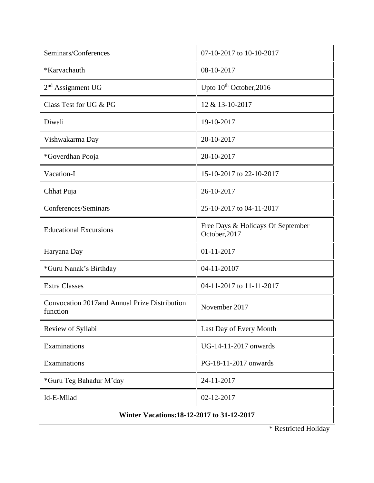| Seminars/Conferences                                       | 07-10-2017 to 10-10-2017                           |  |
|------------------------------------------------------------|----------------------------------------------------|--|
| *Karvachauth                                               | 08-10-2017                                         |  |
| $2nd$ Assignment UG                                        | Upto 10 <sup>th</sup> October, 2016                |  |
| Class Test for UG & PG                                     | 12 & 13-10-2017                                    |  |
| Diwali                                                     | 19-10-2017                                         |  |
| Vishwakarma Day                                            | 20-10-2017                                         |  |
| *Goverdhan Pooja                                           | 20-10-2017                                         |  |
| Vacation-I                                                 | 15-10-2017 to 22-10-2017                           |  |
| Chhat Puja                                                 | 26-10-2017                                         |  |
| Conferences/Seminars                                       | 25-10-2017 to 04-11-2017                           |  |
| <b>Educational Excursions</b>                              | Free Days & Holidays Of September<br>October, 2017 |  |
| Haryana Day                                                | 01-11-2017                                         |  |
| *Guru Nanak's Birthday                                     | 04-11-20107                                        |  |
| <b>Extra Classes</b>                                       | 04-11-2017 to 11-11-2017                           |  |
| Convocation 2017 and Annual Prize Distribution<br>function | November 2017                                      |  |
| Review of Syllabi                                          | Last Day of Every Month                            |  |
| Examinations                                               | UG-14-11-2017 onwards                              |  |
| Examinations                                               | PG-18-11-2017 onwards                              |  |
| *Guru Teg Bahadur M'day                                    | 24-11-2017                                         |  |
| Id-E-Milad                                                 | 02-12-2017                                         |  |
| Winter Vacations: 18-12-2017 to 31-12-2017                 |                                                    |  |

 $\mathbf{\mathsf{r}}$ 

\* Restricted Holiday